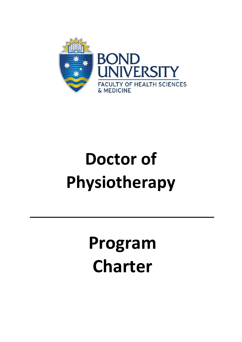

# **Doctor of Physiotherapy**

**Program Charter**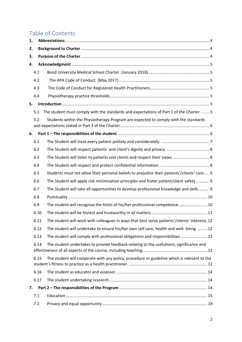# Table of Contents

| 1.   |      |  |                                                                                               |  |  |  |  |
|------|------|--|-----------------------------------------------------------------------------------------------|--|--|--|--|
| 2.   |      |  |                                                                                               |  |  |  |  |
| 3.   |      |  |                                                                                               |  |  |  |  |
| 4.   |      |  |                                                                                               |  |  |  |  |
|      | 4.1  |  |                                                                                               |  |  |  |  |
|      | 4.2  |  |                                                                                               |  |  |  |  |
|      | 4.3  |  |                                                                                               |  |  |  |  |
|      | 4.4  |  |                                                                                               |  |  |  |  |
| 5.   |      |  |                                                                                               |  |  |  |  |
|      | 5.1  |  | The student must comply with the standards and expectations of Part 1 of the Charter.  5      |  |  |  |  |
|      | 5.2  |  | Students within the Physiotherapy Program are expected to comply with the standards           |  |  |  |  |
| 6.   |      |  |                                                                                               |  |  |  |  |
|      | 6.1  |  |                                                                                               |  |  |  |  |
|      | 6.2  |  |                                                                                               |  |  |  |  |
|      | 6.3  |  | The Student will listen to patients and clients and respect their views.  8                   |  |  |  |  |
|      | 6.4  |  |                                                                                               |  |  |  |  |
|      | 6.5  |  | Students must not allow their personal beliefs to prejudice their patients'/clients' care 9   |  |  |  |  |
|      | 6.6  |  | The Student will apply risk minimisation principles and foster patient/client safety  9       |  |  |  |  |
|      | 6.7  |  | The Student will take all opportunities to develop professional knowledge and skills 9        |  |  |  |  |
|      | 6.8  |  |                                                                                               |  |  |  |  |
|      | 6.9  |  | The student will recognise the limits of his/her professional competence 10                   |  |  |  |  |
|      | 6.10 |  |                                                                                               |  |  |  |  |
|      | 6.11 |  | The student will work with colleagues in ways that best serve patients'/clients' interests.12 |  |  |  |  |
|      | 6.12 |  | The student will undertake to ensure his/her own self care, health and well- being 12         |  |  |  |  |
|      | 6.13 |  | The student will comply with professional obligations and responsibilities  12                |  |  |  |  |
| 6.14 |      |  | The student undertakes to provide feedback relating to the usefulness, significance and       |  |  |  |  |
|      | 6.15 |  | The student will cooperate with any policy, procedure or guideline which is relevant to the   |  |  |  |  |
|      | 6.16 |  |                                                                                               |  |  |  |  |
|      | 6.17 |  |                                                                                               |  |  |  |  |
| 7.   |      |  |                                                                                               |  |  |  |  |
|      | 7.1  |  |                                                                                               |  |  |  |  |
|      | 7.2  |  |                                                                                               |  |  |  |  |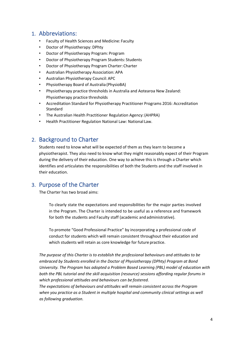## <span id="page-3-0"></span>1. Abbreviations:

- Faculty of Health Sciences and Medicine: Faculty
- Doctor of Physiotherapy: DPhty
- Doctor of Physiotherapy Program: Program
- Doctor of Physiotherapy Program Students: Students
- Doctor of Physiotherapy Program Charter: Charter
- Australian Physiotherapy Association: APA
- Australian Physiotherapy Council: APC
- Physiotherapy Board of Australia (PhysioBA)
- Physiotherapy practice thresholds in Australia and Aotearoa New Zealand: Physiotherapy practice thresholds
- Accreditation Standard for Physiotherapy Practitioner Programs 2016: Accreditation Standard
- The Australian Health Practitioner Regulation Agency:(AHPRA)
- Health Practitioner Regulation National Law: National Law.

## <span id="page-3-1"></span>2. Background to Charter

Students need to know what will be expected of them as they learn to become a physiotherapist. They also need to know what they might reasonably expect of their Program during the delivery of their education. One way to achieve this is through a Charter which identifies and articulates the responsibilities of both the Students and the staff involved in their education.

## <span id="page-3-2"></span>3. Purpose of the Charter

The Charter has two broad aims:

To clearly state the expectations and responsibilities for the major parties involved in the Program. The Charter is intended to be useful as a reference and framework for both the students and Faculty staff (academic and administrative).

To promote "Good Professional Practice" by incorporating a professional code of conduct for students which will remain consistent throughout their education and which students will retain as core knowledge for future practice.

*The purpose of this Charter is to establish the professional behaviours and attitudes to be embraced by Students enrolled in the Doctor of Physiotherapy (DPhty) Program at Bond University. The Program has adopted a Problem Based Learning (PBL) model of education with both the PBL tutorial and the skill acquisition (resource) sessions affording regular forums in which professional attitudes and behaviours can be fostered.*

*The expectations of behaviours and attitudes will remain consistent across the Program*  when you practice as a Student in multiple hospital and community clinical settings as well *as following graduation.*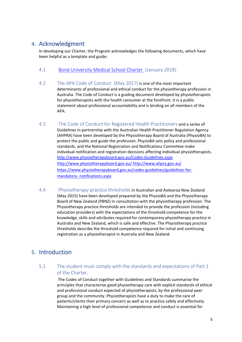## <span id="page-4-0"></span>4. Acknowledgment

In developing our Charter, the Program acknowledges the following documents, which have been helpful as a template and guide:

- <span id="page-4-1"></span>4.1 [Bond University Medical School Charter](https://bond.edu.au/files/1375/student-charter-medical-program.pdf) (January 2018)
- <span id="page-4-2"></span>4.2 [The APA Code of Conduct](https://australian.physio/sites/default/files/ABOUT-US/Governance/APA_Code_of_Conduct.pdf) (May 2017) is one of the most important determinants of professional and ethical conduct for the physiotherapy profession in Australia. The Code of Conduct is a guiding document developed by physiotherapists for physiotherapists with the health consumer at the forefront. It is a public statement about professional accountability and is binding on all members of the APA.
- <span id="page-4-3"></span>4.3 The Code of Conduct for Registered Health Practitioners and a series of Guidelines in partnership with the Australian Health Practitioner Regulation Agency (AHPRA) have been developed by the Physiotherapy Board of Australia (PhysioBA) to protect the public and guide the profession. PhysioBA sets policy and professional standards, and the National Registration and Notifications Committee make individual notification and registration decisions affecting individual physiotherapists. <http://www.physiotherapyboard.gov.au/Codes-Guidelines.aspx> <http://www.physiotherapyboard.gov.au/> <http://www.ahpra.gov.au/> [https://www.physiotherapyboard.gov.au/codes-guidelines/guidelines-for](https://www.physiotherapyboard.gov.au/codes-guidelines/guidelines-for-mandatory-notifications.aspx)[mandatory-](https://www.physiotherapyboard.gov.au/codes-guidelines/guidelines-for-mandatory-notifications.aspx) [notifications.aspx](https://www.physiotherapyboard.gov.au/codes-guidelines/guidelines-for-mandatory-notifications.aspx)
- <span id="page-4-4"></span>4.4 Physiotherapy practice thresholdsin Australian and Aotearoa New Zealand (May 2015) have been developed prepared by the PhysioBA and the Physiotherapy Board of New Zealand (PBNZ) in consultation with the physiotherapy profession. The Physiotherapy practice thresholds are intended to provide the profession (including education providers) with the expectations of the threshold competence for the knowledge, skills and attributes required for contemporary physiotherapy practice in Australia and New Zealand, which is safe and effective. The Physiotherapy practice thresholds describe the threshold competence required for initial and continuing registration as a physiotherapist in Australia and New Zealand.

# <span id="page-4-5"></span>5. Introduction

<span id="page-4-6"></span>5.1 The student must comply with the standards and expectations of Part 1 of the Charter.

> The Codes of Conduct together with Guidelines and Standards summarise the principles that characterise good physiotherapy care with explicit standards of ethical and professional conduct expected of physiotherapists, by the professional peer group and the community. Physiotherapists have a duty to make the care of patients/clients their primary concern as well as to practice safely and effectively. Maintaining a high level of professional competence and conduct is essential for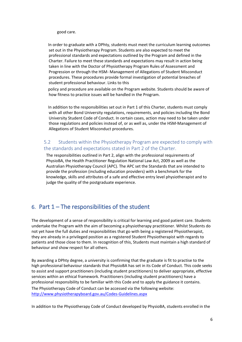good care.

 In order to graduate with a DPhty, students must meet the curriculum learning outcomes set out in the Physiotherapy Program. Students are also expected to meet the professional standards and expectations outlined by the Program and defined in the Charter. Failure to meet these standards and expectations may result in action being taken in line with the Doctor of Physiotherapy Program Rules of Assessment and Progression or through the HSM- Management of Allegations of Student Misconduct procedures. These procedures provide formal investigation of potential breaches of student professional behaviour. Links to this

 policy and procedure are available on the Program website. Students should be aware of how fitness to practice issues will be handled in the Program.

 In addition to the responsibilities set out in Part 1 of this Charter, students must comply with all other Bond University regulations, requirements, and policies including the Bond University Student Code of Conduct. In certain cases, action may need to be taken under those regulations and policies instead of, or as well as, under the HSM-Management of Allegations of Student Misconduct procedures.

#### <span id="page-5-0"></span>5.2 Students within the Physiotherapy Program are expected to comply with the standards and expectations stated in Part 2 of the Charter.

The responsibilities outlined in Part 2, align with the professional requirements of PhysioBA, the Health Practitioner Regulation National Law Act, 2009 as well as the Australian Physiotherapy Council (APC). The APC set the Standards that are intended to provide the profession (including education providers) with a benchmark for the knowledge, skills and attributes of a safe and effective entry level physiotherapist and to judge the quality of the postgraduate experience.

## <span id="page-5-1"></span>6. Part  $1$  – The responsibilities of the student

The development of a sense of responsibility is critical for learning and good patient care. Students undertake the Program with the aim of becoming a physiotherapy practitioner. Whilst Students do not yet have the full duties and responsibilities that go with being a registered Physiotherapist, they are already in a privileged position as a registered Student Physiotherapist with regards to patients and those close to them. In recognition of this, Students must maintain a high standard of behaviour and show respect for all others.

By awarding a DPhty degree, a university is confirming that the graduate is fit to practise to the high professional behaviour standards that PhysioBA has set in its Code of Conduct. This code seeks to assist and support practitioners (including student practitioners) to deliver appropriate, effective services within an ethical framework. Practitioners (including student practitioners) have a professional responsibility to be familiar with this Code and to apply the guidance it contains. The Physiotherapy Code of Conduct can be accessed via the following website: <http://www.physiotherapyboard.gov.au/Codes-Guidelines.aspx>

In addition to the Physiotherapy Code of Conduct developed by PhysioBA, students enrolled in the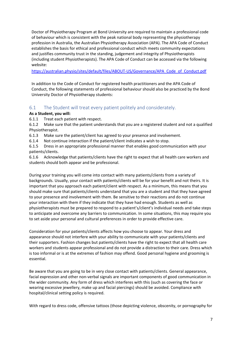Doctor of Physiotherapy Program at Bond University are required to maintain a professional code of behaviour which is consistent with the peak national body representing the physiotherapy profession in Australia, the Australian Physiotherapy Association (APA). The APA Code of Conduct establishes the basis for ethical and professional conduct which meets community expectations and justifies community trust in the standing, judgement and integrity of Physiotherapists (including student Physiotherapists). The APA Code of Conduct can be accessed via the following website:

[https://australian.physio/sites/default/files/ABOUT-US/Governance/APA\\_Code\\_of\\_Conduct.pdf](https://australian.physio/sites/default/files/ABOUT-US/Governance/APA_Code_of_Conduct.pdf)

In addition to the Code of Conduct for registered health practitioners and the APA Code of Conduct, the following statements of professional behaviour should also be practiced by the Bond University Doctor of Physiotherapy students:

#### <span id="page-6-0"></span>6.1 The Student will treat every patient politely and considerately.

#### **As a Student, you will:**

6.1.1 Treat each patient with respect.

6.1.2 Make sure that the patient understands that you are a registered student and not a qualified Physiotherapist.

6.1.3 Make sure the patient/client has agreed to your presence and involvement.

6.1.4 Not continue interaction if the patient/client indicates a wish to stop.

6.1.5 Dress in an appropriate professional manner that enables good communication with your patients/clients.

6.1.6 Acknowledge that patients/clients have the right to expect that all health care workers and students should both appear and be professional.

During your training you will come into contact with many patients/clients from a variety of backgrounds. Usually, your contact with patients/clients will be for your benefit and not theirs. It is important that you approach each patient/client with respect. As a minimum, this means that you should make sure that patients/clients understand that you are a student and that they have agreed to your presence and involvement with them. Be sensitive to their reactions and do not continue your interaction with them if they indicate that they have had enough. Students as well as physiotherapists must be prepared to respond to a patient's/client's individual needs and take steps to anticipate and overcome any barriers to communication. In some situations, this may require you to set aside your personal and cultural preferences in order to provide effective care.

Consideration for your patients/clients affects how you choose to appear. Your dress and appearance should not interfere with your ability to communicate with your patients/clients and their supporters. Fashion changes but patients/clients have the right to expect that all health care workers and students appear professional and do not provide a distraction to their care. Dress which is too informal or is at the extremes of fashion may offend. Good personal hygiene and grooming is essential.

Be aware that you are going to be in very close contact with patients/clients. General appearance, facial expression and other non-verbal signals are important components of good communication in the wider community. Any form of dress which interferes with this (such as covering the face or wearing excessive jewellery, make up and facial piercings) should be avoided. Compliance with hospital/clinical setting policy is required.

With regard to dress code, offensive tattoos (those depicting violence, obscenity, or pornography for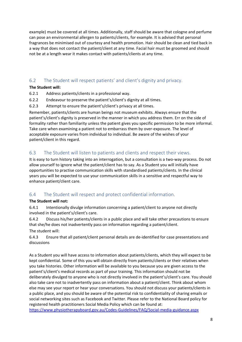example) must be covered at all times. Additionally, staff should be aware that cologne and perfume can pose an environmental allergen to patients/clients, for example. It is advised that personal fragrances be minimised out of courtesy and health promotion. Hair should be clean and tied back in a way that does not contact the patient/client at any time. Facial hair must be groomed and should not be at a length wear it makes contact with patients/clients at any time.

## <span id="page-7-0"></span>6.2 The Student will respect patients' and client's dignity and privacy.

## **The Student will:**

- 6.2.1 Address patients/clients in a professional way.
- 6.2.2 Endeavour to preserve the patient's/client's dignity at all times.
- 6.2.3 Attempt to ensure the patient's/client's privacy at all times.

Remember, patients/clients are human beings not museum exhibits. Always ensure that the patient's/client's dignity is preserved in the manner in which you address them. Err on the side of formality rather than familiarity unless the patient gives you specific permission to be more informal. Take care when examining a patient not to embarrass them by over-exposure. The level of acceptable exposure varies from individual to individual. Be aware of the wishes of your patient/client in this regard.

## <span id="page-7-1"></span>6.3 The Student will listen to patients and clients and respect their views.

It is easy to turn history taking into an interrogation, but a consultation is a two-way process. Do not allow yourself to ignore what the patient/client has to say. As a Student you will initially have opportunities to practise communication skills with standardised patients/clients. In the clinical years you will be expected to use your communication skills in a sensitive and respectful way to enhance patient/client care.

## <span id="page-7-2"></span>6.4 The Student will respect and protect confidential information.

#### **The Student will not:**

6.4.1 Intentionally divulge information concerning a patient/client to anyone not directly involved in the patient's/client's care.

6.4.2 Discuss his/her patients/clients in a public place and will take other precautions to ensure that she/he does not inadvertently pass on information regarding a patient/client.

The student will:

6.4.3 Ensure that all patient/client personal details are de-identified for case presentations and discussions

As a Student you will have access to information about patients/clients, which they will expect to be kept confidential. Some of this you will obtain directly from patients/clients or their relatives when you take histories. Other information will be available to you because you are given access to the patient's/client's medical records as part of your training. This information should not be deliberately divulged to anyone who is not directly involved in the patient's/client's care. You should also take care not to inadvertently pass on information about a patient/client. Think about whom else may see your report or hear your conversations. You should not discuss your patients/clients in a public place, and you should be aware of the potential risk to confidentiality of sharing emails or social networking sites such as Facebook and Twitter. Please refer to the National Board policy for registered health practitioners Social Media Policy which can be found at:

<https://www.physiotherapyboard.gov.au/Codes-Guidelines/FAQ/Social-media-guidance.aspx>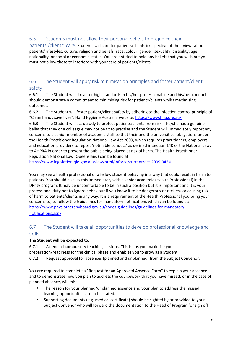## <span id="page-8-0"></span>6.5 Students must not allow their personal beliefs to prejudice their

patients'/clients' care. Students will care for patients/clients irrespective of their views about patients' lifestyles, culture, religion and beliefs, race, colour, gender, sexuality, disability, age, nationality, or social or economic status. You are entitled to hold any beliefs that you wish but you must not allow these to interfere with your care of patients/clients.

## <span id="page-8-1"></span>6.6 The Student will apply risk minimisation principles and foster patient/client safety

6.6.1 The Student will strive for high standards in his/her professional life and his/her conduct should demonstrate a commitment to minimising risk for patients/clients whilst maximising outcomes.

6.6.2 The Student will foster patient/client safety by adhering to the infection control principle of "Clean hands save lives". Hand Hygiene Australia website:<https://www.hha.org.au/>

6.6.3 The Student will act quickly to protect patients/clients from risk if he/she has a genuine belief that they or a colleague may not be fit to practise and the Student will immediately report any concerns to a senior member of academic staff so that their and the universities' obligations under the Health Practitioner Regulation National Law Act 2009, which requires practitioners, employers and education providers to report 'notifiable conduct' as defined in section 140 of the National Law, to AHPRA in order to prevent the public being placed at risk of harm. The Health Practitioner Regulation National Law (Queensland) can be found at:

[https://www.legislation.qld.gov.au/view/html/inforce/current/act-2009-045#](https://www.legislation.qld.gov.au/view/html/inforce/current/act-2009-045)

You may see a health professional or a fellow student behaving in a way that could result in harm to patients. You should discuss this immediately with a senior academic (Health Professional) in the DPhty program. It may be uncomfortable to be in such a position but it is important and it is your professional duty not to ignore behaviour if you know it to be dangerous or reckless or causing risk of harm to patients/clients in any way. It is a requirement of the Health Professional you bring your concerns to, to follow the Guidelines for mandatory notifications which can be found at: [https://www.physiotherapyboard.gov.au/codes-guidelines/guidelines-for-mandatory](https://www.physiotherapyboard.gov.au/codes-guidelines/guidelines-for-mandatory-notifications.aspx)[notifications.aspx](https://www.physiotherapyboard.gov.au/codes-guidelines/guidelines-for-mandatory-notifications.aspx)

## <span id="page-8-2"></span>6.7 The Student will take all opportunities to develop professional knowledge and skills.

#### **The Student will be expected to:**

6.7.1 Attend all compulsory teaching sessions. This helps you maximise your preparation/readiness for the clinical phase and enables you to grow as a Student.

6.7.2 Request approval for absences (planned and unplanned) from the Subject Convenor.

You are required to complete a "Request for an Approved Absence Form" to explain your absence and to demonstrate how you plan to address the coursework that you have missed, or in the case of planned absence, will miss.

- The reason for your planned/unplanned absence and your plan to address the missed learning opportunities are to be stated.
- Supporting documents (e.g. medical certificate) should be sighted by or provided to your Subject Convenor who will forward the documentation to the Head of Program for sign off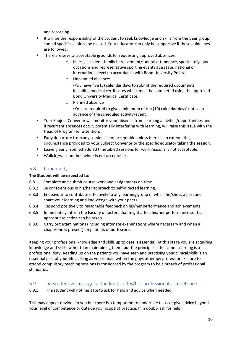and recording.

- It will be the responsibility of the Student to seek knowledge and skills from the peer group should specific sessions be missed. Your educator can only be supportive if these guidelines are followed.
- **There are several acceptable grounds for requesting approved absences:** 
	- o Illness, accident, family bereavement/funeral attendance, special religious occasions and representative sporting events at a state, national or international level (in accordance with Bond University Policy)
	- o Unplanned absence:

▪You have five (5) calendar days to submit the required documents, including medical certificates which must be completed using the approved Bond University Medical Certificate.

- o Planned absence ▪You are required to give a minimum of ten (10) calendar days' notice in advance of the scheduled activity/event.
- Your Subject Convenor will monitor your absence from learning activities/opportunities and if recurrent absences occur, potentially interfering with learning, will raise this issue with the Head of Program for attention.
- Early departure from any session is not acceptable unless there is an extenuating circumstance provided to your Subject Convenor or the specific educator taking the session.
- Leaving early from scheduled timetabled sessions for work reasons is not acceptable.
- Walk in/walk out behaviour is not acceptable.

## <span id="page-9-0"></span>6.8 Punctuality

#### **The Student will be expected to:**

- 6.8.1 Complete and submit course work and assignments on time.
- 6.8.2 Be conscientious in his/her approach to self-directed learning.
- 6.8.3 Endeavour to contribute effectively to any learning group of which he/she is a part and share your learning and knowledge with your peers.
- 6.8.4 Respond positively to reasonable feedback on his/her performance and achievements.
- 6.8.5 Immediately inform the Faculty of factors that might affect his/her performance so that appropriate action can be taken.
- 6.8.6 Carry out examinations (including intimate examinations where necessary and when a chaperone is present) on patients of both sexes.

Keeping your professional knowledge and skills up to date is essential. At this stage you are acquiring knowledge and skills rather than maintaining them, but the principle is the same. Learning is a professional duty. Reading up on the patients you have seen and practising your clinical skills is an essential part of your life as long as you remain within the physiotherapy profession. Failure to attend compulsory teaching sessions is considered by the program to be a breach of professional standards.

#### <span id="page-9-1"></span>6.9 The student will recognise the limits of his/her professional competence.

6.9.1 The student will not hesitate to ask for help and advice when needed.

This may appear obvious to you but there is a temptation to undertake tasks or give advice beyond your level of competence or outside your scope of practice. If in doubt- ask for help.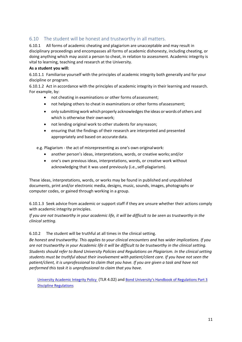## <span id="page-10-0"></span>6.10 The student will be honest and trustworthy in all matters.

6.10.1 All forms of academic cheating and plagiarism are unacceptable and may result in disciplinary proceedings and encompasses all forms of academic dishonesty, including cheating, or doing anything which may assist a person to cheat, in relation to assessment. Academic integrity is vital to learning, teaching and research at the University.

#### **As a student you will:**

6.10.1.1 Familiarise yourself with the principles of academic integrity both generally and for your discipline or program.

6.10.1.2 Act in accordance with the principles of academic integrity in their learning and research. For example, by:

- not cheating in examinations or other forms ofassessment;
- not helping others to cheat in examinations or other forms ofassessment;
- only submitting work which properly acknowledgesthe ideas or words of others and which is otherwise their ownwork;
- not lending original work to other students for any reason;
- ensuring that the findings of their research are interpreted and presented appropriately and based on accurate data.

e.g. Plagiarism - the act of misrepresenting as one's own originalwork:

- another person's ideas, interpretations, words, or creative works;and/or
- one's own previous ideas, interpretations, words, or creative work without acknowledging that it was used previously (i.e.,self-plagiarism).

These ideas, interpretations, words, or works may be found in published and unpublished documents, print and/or electronic media, designs, music, sounds, images, photographs or computer codes, or gained through working in a group.

6.10.1.3 Seek advice from academic or support staff if they are unsure whether their actions comply with academic integrity principles.

*If you are not trustworthy in your academic life, it will be difficult to be seen as trustworthy in the clinical setting.*

#### 6.10.2 The student will be truthful at all times in the clinical setting.

*Be honest and trustworthy. This applies to your clinical encounters and has wider implications. If you are not trustworthy in your Academic life it will be difficult to be trustworthy in the clinical setting. Students should refer to Bond University Policies and Regulations on Plagiarism. In the clinical setting students must be truthful about their involvement with patient/client care. If you have not seen the patient/client, it is unprofessional to claim that you have. If you are given a task and have not performed this task it is unprofessional to claim that you have.*

[University Academic Integrity Policy](https://bond.edu.au/files/2921/TLR402.pdf) (TLR 4.02) and [Bond University's Handbook of Regulations Part 3](https://bond.edu.au/files/676/Student%20Handbook.%20Part%203%3A%20Discipline%20Regulations.pdf)  [Discipline](https://bond.edu.au/files/676/Student%20Handbook.%20Part%203%3A%20Discipline%20Regulations.pdf) [Regulations](https://bond.edu.au/files/676/Student%20Handbook.%20Part%203%3A%20Discipline%20Regulations.pdf)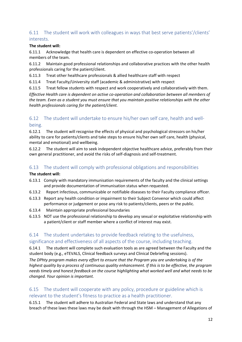## <span id="page-11-0"></span>6.11 The student will work with colleagues in ways that best serve patients'/clients' interests.

#### **The student will:**

6.11.1 Acknowledge that health care is dependent on effective co-operation between all members of the team.

6.11.2 Maintain good professional relationships and collaborative practices with the other health professionals caring for the patient/client.

6.11.3 Treat other healthcare professionals & allied healthcare staff with respect

6.11.4 Treat Faculty/University staff (academic & administrative) with respect

6.11.5 Treat fellow students with respect and work cooperatively and collaboratively with them.

*Effective Health care is dependent on active co-operation and collaboration between all members of the team. Even as a student you must ensure that you maintain positive relationships with the other health professionals caring for the patient/client.*

## <span id="page-11-1"></span>6.12 The student will undertake to ensure his/her own self care, health and wellbeing.

6.12.1 The student will recognise the effects of physical and psychological stressors on his/her ability to care for patients/clients and take steps to ensure his/her own self care, health (physical, mental and emotional) and wellbeing.

6.12.2 The student will aim to seek independent objective healthcare advice, preferably from their own general practitioner, and avoid the risks of self-diagnosis and self-treatment.

## <span id="page-11-2"></span>6.13 The student will comply with professional obligations and responsibilities

#### **The student will:**

- 6.13.1 Comply with mandatory immunisation requirements of the faculty and the clinical settings and provide documentation of immunisation status when requested.
- 6.13.2 Report infectious, communicable or notifiable diseases to their Faculty compliance officer.
- 6.13.3 Report any health condition or impairment to their Subject Convenor which could affect performance or judgement or pose any risk to patients/clients, peers or the public.
- 6.13.4 Maintain appropriate professional boundaries
- 6.13.5 NOT use the professional relationship to develop any sexual or exploitative relationship with a patient/client or staff member where a conflict of interest may exist.

## <span id="page-11-3"></span>6.14 The student undertakes to provide feedback relating to the usefulness, significance and effectiveness of all aspects of the course, including teaching.

6.14.1 The student will complete such evaluation tools as are agreed between the Faculty and the student body (e.g., eTEVALS, Clinical feedback surveys and Clinical Debriefing sessions).

*The DPhty program makes every effort to ensure that the Program you are undertaking is of the highest quality by a process of continuous quality enhancement. If this is to be effective, the program needs timely and honest feedback on the course highlighting what worked well and what needs to be changed. Your opinion is important.*

## <span id="page-11-4"></span>6.15 The student will cooperate with any policy, procedure or guideline which is relevant to the student's fitness to practice as a health practitioner.

6.15.1 The student will adhere to Australian Federal and State laws and understand that any breach of these laws these laws may be dealt with through the HSM – Management of Allegations of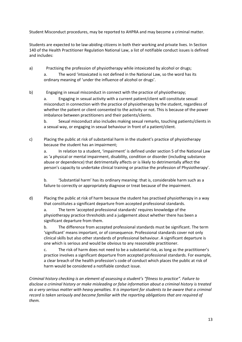Student Misconduct procedures, may be reported to AHPRA and may become a criminal matter.

Students are expected to be law-abiding citizens in both their working and private lives. In Section 140 of the Health Practitioner Regulation National Law, a list of notifiable conduct issues is defined and includes:

- a) Practising the profession of physiotherapy while intoxicated by alcohol or drugs; a. The word 'intoxicated is not defined in the National Law, so the word has its ordinary meaning of 'under the influence of alcohol or drugs'.
- b) Engaging in sexual misconduct in connect with the practice of physiotherapy;

a. Engaging in sexual activity with a current patient/client will constitute sexual misconduct in connection with the practice of physiotherapy by the student, regardless of whether the patient or client consented to the activity or not. This is because of the power imbalance between practitioners and their patients/clients.

b. Sexual misconduct also includes making sexual remarks, touching patients/clients in a sexual way, or engaging in sexual behaviour in front of a patient/client.

c) Placing the public at risk of substantial harm in the student's practice of physiotherapy because the student has an impairment;

a. In relation to a student, 'impairment' is defined under section 5 of the National Law as 'a physical or mental impairment, disability, condition or disorder (including substance abuse or dependence) that detrimentally affects or is likely to detrimentally affect the person's capacity to undertake clinical training or practise the profession of Physiotherapy'.

b. 'Substantial harm' has its ordinary meaning: that is, considerable harm such as a failure to correctly or appropriately diagnose or treat because of the impairment.

d) Placing the public at risk of harm because the student has practised physiotherapy in a way that constitutes a significant departure from accepted professional standards.

a. The term 'accepted professional standards' requires knowledge of the physiotherapy practice thresholds and a judgement about whether there has been a significant departure from them.

b. The difference from accepted professional standards must be significant. The term 'significant' means important, or of consequence. Professional standards cover not only clinical skills but also other standards of professional behaviour. A significant departure is one which is serious and would be obvious to any reasonable practitioner.

c. The risk of harm does not need to be a substantial risk, as long as the practitioner's practice involves a significant departure from accepted professional standards. For example, a clear breach of the health profession's code of conduct which places the public at risk of harm would be considered a notifiable conduct issue.

*Criminal history checking is an element of assessing a student's "fitness to practice". Failure to disclose a criminal history or make misleading or false information about a criminal history is treated as a very serious matter with heavy penalties. It is important for students to be aware that a criminal record is taken seriously and become familiar with the reporting obligations that are required of them.*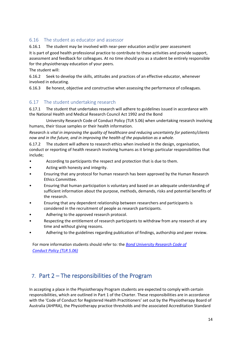## <span id="page-13-0"></span>6.16 The student as educator and assessor

6.16.1 The student may be involved with near-peer education and/or peer assessment It is part of good health professional practice to contribute to these activities and provide support,

assessment and feedback for colleagues. At no time should you as a student be entirely responsible for the physiotherapy education of your peers.

The student will:

6.16.2 Seek to develop the skills, attitudes and practices of an effective educator, whenever involved in educating.

6.16.3 Be honest, objective and constructive when assessing the performance of colleagues.

## <span id="page-13-1"></span>6.17 The student undertaking research

6.17.1 The student that undertakes research will adhere to guidelines issued in accordance with the National Health and Medical Research Council Act 1992 and the Bond

University Research Code of Conduct Policy (TLR 5.06) when undertaking research involving humans, their tissue samples or their health information.

*Research is vital in improving the quality of healthcare and reducing uncertainty for patients/clients now and in the future, and in improving the health of the population as a whole.*

6.17.2 The student will adhere to research ethics when involved in the design, organisation, conduct or reporting of health research involving humans as it brings particular responsibilities that include;

- According to participants the respect and protection that is due to them.
- Acting with honesty and integrity.
- Ensuring that any protocol for human research has been approved by the Human Research Ethics Committee.
- Ensuring that human participation is voluntary and based on an adequate understanding of sufficient information about the purpose, methods, demands, risks and potential benefits of the research.
- Ensuring that any dependent relationship between researchers and participants is considered in the recruitment of people as research participants.
- Adhering to the approved research protocol.
- Respecting the entitlement of research participants to withdraw from any research at any time and without giving reasons.
- Adhering to the guidelines regarding publication of findings, authorship and peer review.

For more information students should refer to: the *[Bond University Research Code of](https://bond.edu.au/files/955/TLR506.pdf)  [Conduct Policy](https://bond.edu.au/files/955/TLR506.pdf) [\(TLR 5.06\)](https://bond.edu.au/files/955/TLR506.pdf)*

# <span id="page-13-2"></span>7. Part 2 – The responsibilities of the Program

In accepting a place in the Physiotherapy Program students are expected to comply with certain responsibilities, which are outlined in Part 1 of the Charter. These responsibilities are in accordance with the 'Code of Conduct for Registered Health Practitioners' set out by the Physiotherapy Board of Australia (AHPRA), the Physiotherapy practice thresholds and the associated Accreditation Standard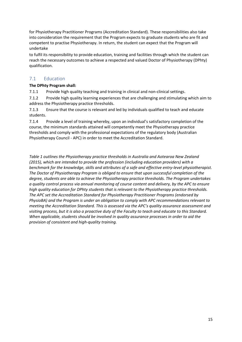for Physiotherapy Practitioner Programs (Accreditation Standard). These responsibilities also take into consideration the requirement that the Program expects to graduate students who are fit and competent to practise Physiotherapy. In return, the student can expect that the Program will undertake

to fulfil its responsibility to provide education, training and facilities through which the student can reach the necessary outcomes to achieve a respected and valued Doctor of Physiotherapy (DPhty) qualification.

#### <span id="page-14-0"></span>7.1 Education

#### **The DPhty Program shall:**

7.1.1 Provide high quality teaching and training in clinical and non-clinical settings.

7.1.2 Provide high quality learning experiences that are challenging and stimulating which aim to address the Physiotherapy practice thresholds.

7.1.3 Ensure that the course is relevant and led by individuals qualified to teach and educate students.

7.1.4 Provide a level of training whereby, upon an individual's satisfactory completion of the course, the minimum standards attained will competently meet the Physiotherapy practice thresholds and comply with the professional expectations of the regulatory body (Australian Physiotherapy Council - APC) in order to meet the Accreditation Standard.

*Table 1 outlines the Physiotherapy practice thresholds in Australia and Aotearoa New Zealand (2015), which are intended to provide the profession (including education providers) with a benchmark for the knowledge, skills and attributes of a safe and effective entry-level physiotherapist. The Doctor of Physiotherapy Program is obliged to ensure that upon successful completion of the degree, students are able to achieve the Physiotherapy practice thresholds. The Program undertakes a quality control process via annual monitoring of course content and delivery, by the APC to ensure high quality education for DPhty students that is relevant to the Physiotherapy practice thresholds. The APC set the Accreditation Standard for Physiotherapy Practitioner Programs (endorsed by PhysioBA) and the Program is under an obligation to comply with APC recommendations relevant to meeting the Accreditation Standard. This is assessed via the APC's quality assurance assessment and visiting process, but it is also a proactive duty of the Faculty to teach and educate to this Standard. When applicable, students should be involved in quality assurance processes in order to aid the provision of consistent and high-quality training.*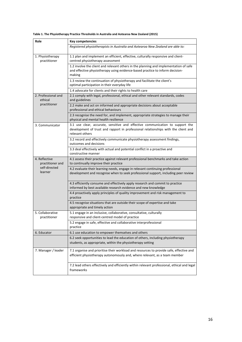| Table 1. The Physiotherapy Practice Thresholds in Australia and Aotearoa New Zealand (2015) |  |  |
|---------------------------------------------------------------------------------------------|--|--|
|---------------------------------------------------------------------------------------------|--|--|

| Role                              | <b>Key competencies</b>                                                                                                                                                                |  |  |
|-----------------------------------|----------------------------------------------------------------------------------------------------------------------------------------------------------------------------------------|--|--|
|                                   | Registered physiotherapists in Australia and Aotearoa New Zealand are able to:                                                                                                         |  |  |
| 1. Physiotherapy<br>practitioner  | 1.1 plan and implement an efficient, effective, culturally responsive and client-<br>centred physiotherapy assessment                                                                  |  |  |
|                                   | 1.2 involve the client and relevant others in the planning and implementation of safe<br>and effective physiotherapy using evidence-based practice to inform decision-<br>making       |  |  |
|                                   | 1.3 review the continuation of physiotherapy and facilitate the client's<br>optimal participation in their everyday life                                                               |  |  |
|                                   | 1.4 advocate for clients and their rights to health care                                                                                                                               |  |  |
| 2. Professional and<br>ethical    | 2.1 comply with legal, professional, ethical and other relevant standards, codes<br>and guidelines                                                                                     |  |  |
| practitioner                      | 2.2 make and act on informed and appropriate decisions about acceptable<br>professional and ethical behaviours                                                                         |  |  |
|                                   | 2.3 recognise the need for, and implement, appropriate strategies to manage their<br>physical and mental health resilience                                                             |  |  |
| 3. Communicator                   | 3.1 use clear, accurate, sensitive and effective communication to support the<br>development of trust and rapport in professional relationships with the client and<br>relevant others |  |  |
|                                   | 3.2 record and effectively communicate physiotherapy assessment findings,<br>outcomes and decisions                                                                                    |  |  |
|                                   | 3.3 deal effectively with actual and potential conflict in a proactive and<br>constructive manner                                                                                      |  |  |
| 4. Reflective<br>practitioner and | 4.1 assess their practice against relevant professional benchmarks and take action<br>to continually improve their practice                                                            |  |  |
| self-directed<br>learner          | 4.2 evaluate their learning needs, engage in relevant continuing professional<br>development and recognise when to seek professional support, including peer review                    |  |  |
|                                   | 4.3 efficiently consume and effectively apply research and commit to practice<br>informed by best available research evidence and new knowledge                                        |  |  |
|                                   | 4.4 proactively apply principles of quality improvement and risk management to<br>practice                                                                                             |  |  |
|                                   | 4.5 recognise situations that are outside their scope of expertise and take<br>appropriate and timely action                                                                           |  |  |
| 5. Collaborative<br>practitioner  | 5.1 engage in an inclusive, collaborative, consultative, culturally<br>responsive and client-centred model of practice                                                                 |  |  |
|                                   | 5.2 engage in safe, effective and collaborative interprofessional<br>practice                                                                                                          |  |  |
| 6. Educator                       | 6.1 use education to empower themselves and others                                                                                                                                     |  |  |
|                                   | 6.2 seek opportunities to lead the education of others, including physiotherapy<br>students, as appropriate, within the physiotherapy setting                                          |  |  |
| 7. Manager / leader               | 7.1 organise and prioritise their workload and resources to provide safe, effective and<br>efficient physiotherapy autonomously and, where relevant, as a team member                  |  |  |
|                                   | 7.2 lead others effectively and efficiently within relevant professional, ethical and legal<br>frameworks                                                                              |  |  |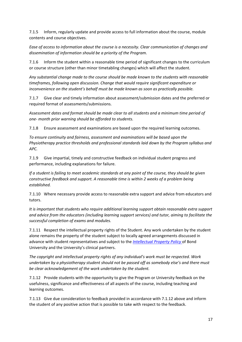7.1.5 Inform, regularly update and provide access to full information about the course, module contents and course objectives.

*Ease of access to information about the course is a necessity. Clear communication of changes and dissemination of information should be a priority of the Program.*

7.1.6 Inform the student within a reasonable time period of significant changes to the curriculum or course structure (other than minor timetabling changes) which will affect the student.

*Any substantial change made to the course should be made known to the students with reasonable timeframes, following open discussion. Change that would require significant expenditure or inconvenience on the student's behalf must be made known as soon as practically possible.*

7.1.7 Give clear and timely information about assessment/submission dates and the preferred or required format of assessments/submissions.

*Assessment dates and format should be made clear to all students and a minimum time period of one- month prior warning should be afforded to students.*

7.1.8 Ensure assessment and examinations are based upon the required learning outcomes.

*To ensure continuity and fairness, assessment and examinations will be based upon the Physiotherapy practice thresholds and professional standards laid down by the Program syllabus and APC.*

7.1.9 Give impartial, timely and constructive feedback on individual student progress and performance, including explanations for failure.

*If a student is failing to meet academic standards at any point of the course, they should be given constructive feedback and support. A reasonable time is within 2 weeks of a problem being established.*

7.1.10 Where necessary provide access to reasonable extra support and advice from educators and tutors.

*It is important that students who require additional learning support obtain reasonable extra support and advice from the educators (including learning support services) and tutor, aiming to facilitate the successful completion of exams and modules.*

7.1.11 Respect the intellectual property rights of the Student. Any work undertaken by the student alone remains the property of the student subject to locally agreed arrangements discussed in advance with student representatives and subject to the *[Intellectual Property Policy](https://bond.edu.au/files/958/TLR602.pdf)* of Bond University and the University's clinical partners.

*The copyright and intellectual property rights of any individual's work must be respected. Work undertaken by a physiotherapy student should not be passed off as somebody else's and there must be clear acknowledgement of the work undertaken by the student.*

7.1.12 Provide students with the opportunity to give the Program or University feedback on the usefulness, significance and effectiveness of all aspects of the course, including teaching and learning outcomes.

7.1.13 Give due consideration to feedback provided in accordance with 7.1.12 above and inform the student of any positive action that is possible to take with respect to the feedback.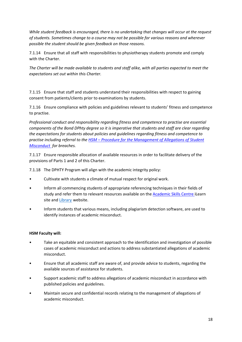*While student feedback is encouraged, there is no undertaking that changes will occur at the request of students. Sometimes change to a course may not be possible for various reasons and wherever possible the student should be given feedback on those reasons.*

7.1.14 Ensure that all staff with responsibilities to physiotherapy students promote and comply with the Charter.

*The Charter will be made available to students and staff alike, with all parties expected to meet the expectations set out within this Charter.*

7.1.15 Ensure that staff and students understand their responsibilities with respect to gaining consent from patients/clients prior to examinations by students.

7.1.16 Ensure compliance with policies and guidelines relevant to students' fitness and competence to practise.

*Professional conduct and responsibility regarding fitness and competence to practise are essential components of the Bond DPhty degree so it is imperative that students and staff are clear regarding the expectations for students about policies and guidelines regarding fitness and competence to practise including referral to the HSM – [Procedure for the Management of Allegations of Student](https://bond.edu.au/files/2034/hsm-student-misconduct.pdf) [Misconduct](https://bond.edu.au/files/2034/hsm-student-misconduct.pdf) for breaches.*

7.1.17 Ensure responsible allocation of available resources in order to facilitate delivery of the provisions of Parts 1 and 2 of this Charter.

7.1.18 The DPHTY Program will align with the academic integrity policy:

- Cultivate with students a climate of mutual respect for original work.
- Inform all commencing students of appropriate referencing techniques in their fields of study and refer them to relevant resources available on the [Academic Skills Centre i](https://ilearn.bond.edu.au/ultra/organizations/_43_1/outline)Learn site and [Library](https://library.bond.edu.au/help-support/information-skills-tools/referencing) website.
- Inform students that various means, including plagiarism detection software, are used to identify instances of academic misconduct.

#### **HSM Faculty will:**

- Take an equitable and consistent approach to the identification and investigation of possible cases of academic misconduct and actions to address substantiated allegations of academic misconduct.
- Ensure that all academic staff are aware of, and provide advice to students, regarding the available sources of assistance for students.
- Support academic staff to address allegations of academic misconduct in accordance with published policies and guidelines.
- Maintain secure and confidential records relating to the management of allegations of academic misconduct.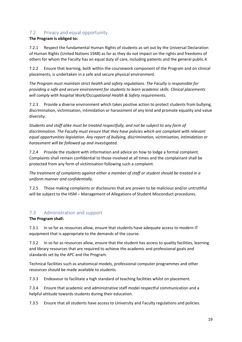## <span id="page-18-0"></span>7.2 Privacy and equal opportunity

#### **The Program is obliged to:**

7.2.1 Respect the fundamental Human Rights of students as set out by the Universal Declaration of Human Rights (United Nations 1948) as far as they do not impact on the rights and freedoms of others for whom the Faculty has an equal duty of care, including patients and the general public.4

7.2.2 Ensure that learning, both within the coursework component of the Program and on clinical placements, is undertaken in a safe and secure physical environment.

*The Program must maintain strict health and safety regulations. The Faculty is responsible for providing a safe and secure environment for students to learn academic skills. Clinical placements will comply with hospital Work/Occupational Health & Safety requirements.*

7.2.3 Provide a diverse environment which takes positive action to protect students from bullying, discrimination, victimisation, intimidation or harassment of any kind and promote equality and value diversity.

*Students and staff alike must be treated respectfully, and not be subject to any form of discrimination. The Faculty must ensure that they have policies which are compliant with relevant equal opportunities legislation. Any report of bullying, discrimination, victimisation, intimidation or harassment will be followed up and investigated.*

7.2.4 Provide the student with information and advice on how to lodge a formal complaint. Complaints shall remain confidential to those involved at all times and the complainant shall be protected from any form of victimisation following such a complaint.

*The treatment of complaints against either a member of staff or student should be treated in a uniform manner and confidentially.*

7.2.5 Those making complaints or disclosures that are proven to be malicious and/or untruthful will be subject to the HSM – Management of Allegations of Student Misconduct procedures.

## <span id="page-18-1"></span>7.3 Administration and support

#### **The Program shall:**

7.3.1 In so far as resources allow, ensure that students have adequate access to modern IT equipment that is appropriate to the demands of the course.

7.3.2 In so far as resources allow, ensure that the student has access to quality facilities, learning and library resources that are required to achieve the academic and professional goals and standards set by the APC and the Program.

Technical facilities such as anatomical models, professional computer programmes and other resources should be made available to students.

7.3.3 Endeavour to facilitate a high standard of teaching facilities whilst on placement.

7.3.4 Ensure that academic and administrative staff model respectful communication and a helpful attitude towards students during their education.

7.3.5 Ensure that all students have access to University and Faculty regulations and policies.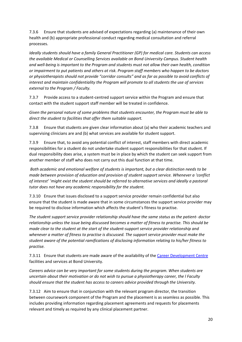7.3.6 Ensure that students are advised of expectations regarding (a) maintenance of their own health and (b) appropriate professional conduct regarding medical consultation and referral processes.

*Ideally students should have a family General Practitioner (GP) for medical care. Students can access the available Medical or Counselling Services available on Bond University Campus. Student health and well-being is important to the Program and students must not allow their own health, condition or impairment to put patients and others at risk. Program staff members who happen to be doctors or physiotherapists should not provide "corridor consults" and as far as possible to avoid conflicts of interest and maintain confidentiality the Program will promote to all students the use of services external to the Program / Faculty.*

7.3.7 Provide access to a student-centred support service within the Program and ensure that contact with the student support staff member will be treated in confidence.

*Given the personal nature of some problems that students encounter, the Program must be able to direct the student to facilities that offer them suitable support.*

7.3.8 Ensure that students are given clear information about (a) who their academic teachers and supervising clinicians are and (b) what services are available for student support.

7.3.9 Ensure that, to avoid any potential conflict of interest, staff members with direct academic responsibilities for a student do not undertake student support responsibilities for that student. If dual responsibility does arise, a system must be in place by which the student can seek support from another member of staff who does not carry out this dual function at that time.

*Both academic and emotional welfare of students is important, but a clear distinction needs to be made between provision of education and provision of student support service. Whenever a 'conflict of interest' 'might exist the student should be referred to alternative services and ideally a pastoral tutor does not have any academic responsibility for the student.*

7.3.10 Ensure that issues disclosed to a support service provider remain confidential but also ensure that the student is made aware that in some circumstances the support service provider may be required to disclose information which affects the student's fitness to practise.

*The student support service provider relationship should have the same status as the patient- doctor relationship unless the issue being discussed becomes a matter of fitness to practise. This should be made clear to the student at the start of the student-support service provider relationship and whenever a matter of fitness to practise is discussed. The support service provider must make the student aware of the potential ramifications of disclosing information relating to his/her fitness to practise.*

7.3.11 Ensure that students are made aware of the availability of th[e Career Development Centre](https://bond.edu.au/current-students/opportunities/career-development-centre)  facilities and services at Bond University.

*Careers advice can be very important for some students during the program. When students are uncertain about their motivation or do not wish to pursue a physiotherapy career, the l Faculty should ensure that the student has access to careers advice provided through the University.*

7.3.12 Aim to ensure that in conjunction with the relevant program director, the transition between coursework component of the Program and the placement is as seamless as possible. This includes providing information regarding placement agreements and requests for placements relevant and timely as required by any clinical placement partner.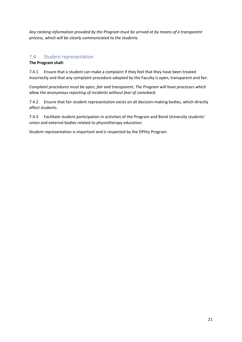*Any ranking information provided by the Program must be arrived at by means of a transparent process, which will be clearly communicated to the students.*

#### <span id="page-20-0"></span>7.4 Student representation

#### **The Program shall:**

7.4.1 Ensure that a student can make a complaint if they feel that they have been treated incorrectly and that any complaint procedure adopted by the Faculty is open, transparent and fair.

*Complaint procedures must be open, fair and transparent. The Program will have processes which allow the anonymous reporting of incidents without fear of comeback.*

7.4.2 Ensure that fair student representation exists on all decision-making bodies, which directly affect students.

7.4.3 Facilitate student participation in activities of the Program and Bond University students' union and external bodies related to physiotherapy education.

Student representation is important and is respected by the DPhty Program.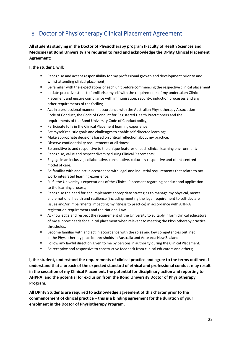# <span id="page-21-0"></span>8. Doctor of Physiotherapy Clinical Placement Agreement

**All students studying in the Doctor of Physiotherapy program (Faculty of Health Sciences and Medicine) at Bond University are required to read and acknowledge the DPhty Clinical Placement Agreement:**

#### **I, the student, will:**

- Recognise and accept responsibility for my professional growth and development prior to and whilst attending clinical placement;
- Be familiar with the expectations of each unit before commencing the respective clinical placement;
- Initiate proactive steps to familiarise myself with the requirements of my undertaken Clinical Placement and ensure compliance with immunisation, security, induction processes and any other requirements of the facility;
- Act in a professional manner in accordance with the Australian Physiotherapy Association Code of Conduct, the Code of Conduct for Registered Health Practitioners and the requirements of the Bond University Code of Conduct policy;
- Participate fully in the Clinical Placement learning experience;
- Set myself realistic goals and challenges to enable self-directed learning;
- Make appropriate decisions based on critical reflection about my practice;
- Observe confidentiality requirements at alltimes;
- Be sensitive to and responsive to the unique features of each clinical learning environment;
- Recognise, value and respect diversity during Clinical Placements;
- Engage in an inclusive, collaborative, consultative, culturally responsive and client-centred model of care;
- Be familiar with and act in accordance with legal and industrial requirements that relate to my work- integrated learning experience;
- Fulfil the University's expectations of the Clinical Placement regarding conduct and application to the learning process;
- Recognise the need for and implement appropriate strategies to manage my physical, mental and emotional health and resilience (including meeting the legal requirement to self-declare issues and/or impairments impacting my fitness to practice) in accordance with AHPRA registration requirements and the National Law.
- **EXECT Acknowledge and respect the requirement of the University to suitably inform clinical educators** of my support needs for clinical placement when relevant to meeting the Physiotherapy practice thresholds.
- Become familiar with and act in accordance with the roles and key competencies outlined in the Physiotherapy practice thresholds in Australia and Aotearoa New Zealand.
- Follow any lawful direction given to me by persons in authority during the Clinical Placement;
- Be receptive and responsive to constructive feedback from clinical educators and others;

**I, the student, understand the requirements of clinical practice and agree to the terms outlined. I understand that a breach of the expected standard of ethical and professional conduct may result in the cessation of my Clinical Placement, the potential for disciplinary action and reporting to AHPRA, and the potential for exclusion from the Bond University Doctor of Physiotherapy Program.**

**All DPhty Students are required to acknowledge agreement of this charter prior to the commencement of clinical practice – this is a binding agreement for the duration of your enrolment in the Doctor of Physiotherapy Program.**